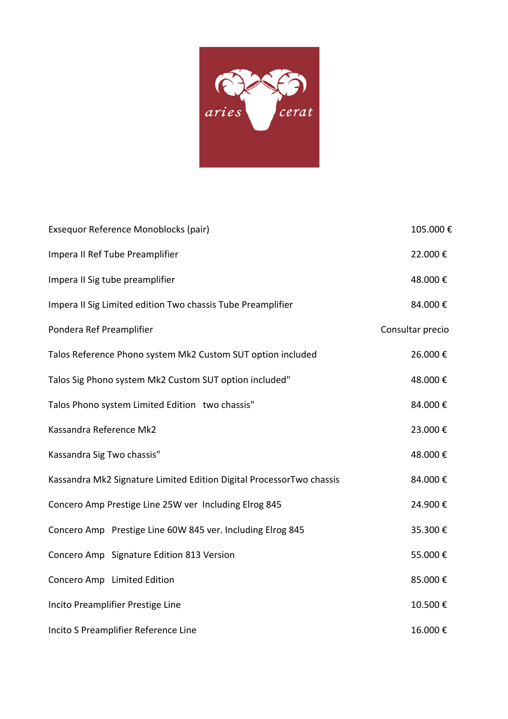

| Exsequor Reference Monoblocks (pair)                                 | 105.000€         |
|----------------------------------------------------------------------|------------------|
| Impera II Ref Tube Preamplifier                                      | 22.000€          |
| Impera II Sig tube preamplifier                                      | 48.000€          |
| Impera II Sig Limited edition Two chassis Tube Preamplifier          | 84.000€          |
| Pondera Ref Preamplifier                                             | Consultar precio |
| Talos Reference Phono system Mk2 Custom SUT option included          | 26.000€          |
| Talos Sig Phono system Mk2 Custom SUT option included"               | 48.000€          |
| Talos Phono system Limited Edition two chassis"                      | 84.000€          |
| Kassandra Reference Mk2                                              | 23.000€          |
| Kassandra Sig Two chassis"                                           | 48.000€          |
| Kassandra Mk2 Signature Limited Edition Digital ProcessorTwo chassis | 84.000€          |
| Concero Amp Prestige Line 25W ver Including Elrog 845                | 24.900€          |
| Concero Amp Prestige Line 60W 845 ver. Including Elrog 845           | 35.300€          |
| Concero Amp Signature Edition 813 Version                            | 55.000€          |
| Concero Amp Limited Edition                                          | 85.000€          |
| Incito Preamplifier Prestige Line                                    | 10.500€          |
| Incito S Preamplifier Reference Line                                 | 16.000€          |